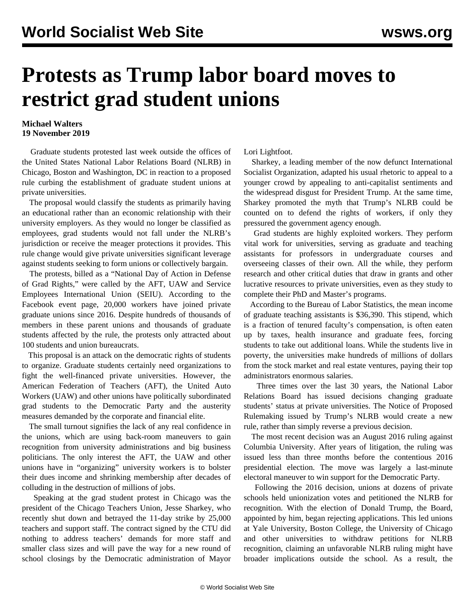## **Protests as Trump labor board moves to restrict grad student unions**

## **Michael Walters 19 November 2019**

 Graduate students protested last week outside the offices of the United States National Labor Relations Board (NLRB) in Chicago, Boston and Washington, DC in reaction to a proposed rule curbing the establishment of graduate student unions at private universities.

 The proposal would classify the students as primarily having an educational rather than an economic relationship with their university employers. As they would no longer be classified as employees, grad students would not fall under the NLRB's jurisdiction or receive the meager protections it provides. This rule change would give private universities significant leverage against students seeking to form unions or collectively bargain.

 The protests, billed as a "National Day of Action in Defense of Grad Rights," were called by the AFT, UAW and Service Employees International Union (SEIU). According to the Facebook event page, 20,000 workers have joined private graduate unions since 2016. Despite hundreds of thousands of members in these parent unions and thousands of graduate students affected by the rule, the protests only attracted about 100 students and union bureaucrats.

 This proposal is an attack on the democratic rights of students to organize. Graduate students certainly need organizations to fight the well-financed private universities. However, the American Federation of Teachers (AFT), the United Auto Workers (UAW) and other unions have politically subordinated grad students to the Democratic Party and the austerity measures demanded by the corporate and financial elite.

 The small turnout signifies the lack of any real confidence in the unions, which are using back-room maneuvers to gain recognition from university administrations and big business politicians. The only interest the AFT, the UAW and other unions have in "organizing" university workers is to bolster their dues income and shrinking membership after decades of colluding in the destruction of millions of jobs.

 Speaking at the grad student protest in Chicago was the president of the Chicago Teachers Union, Jesse Sharkey, who recently shut down and betrayed the 11-day strike by 25,000 teachers and support staff. The contract signed by the CTU did nothing to address teachers' demands for more staff and smaller class sizes and will pave the way for a new round of school closings by the Democratic administration of Mayor Lori Lightfoot.

 Sharkey, a leading member of the now defunct International Socialist Organization, adapted his usual rhetoric to appeal to a younger crowd by appealing to anti-capitalist sentiments and the widespread disgust for President Trump. At the same time, Sharkey promoted the myth that Trump's NLRB could be counted on to defend the rights of workers, if only they pressured the government agency enough.

 Grad students are highly exploited workers. They perform vital work for universities, serving as graduate and teaching assistants for professors in undergraduate courses and overseeing classes of their own. All the while, they perform research and other critical duties that draw in grants and other lucrative resources to private universities, even as they study to complete their PhD and Master's programs.

 According to the Bureau of Labor Statistics, the mean income of graduate teaching assistants is \$36,390. This stipend, which is a fraction of tenured faculty's compensation, is often eaten up by taxes, health insurance and graduate fees, forcing students to take out additional loans. While the students live in poverty, the universities make hundreds of millions of dollars from the stock market and real estate ventures, paying their top administrators enormous salaries.

 Three times over the last 30 years, the National Labor Relations Board has issued decisions changing graduate students' status at private universities. The Notice of Proposed Rulemaking issued by Trump's NLRB would create a new rule, rather than simply reverse a previous decision.

 The most recent decision was an August 2016 ruling against Columbia University. After years of litigation, the ruling was issued less than three months before the contentious 2016 presidential election. The move was largely a last-minute electoral maneuver to win support for the Democratic Party.

 Following the 2016 decision, unions at dozens of private schools held unionization votes and petitioned the NLRB for recognition. With the election of Donald Trump, the Board, appointed by him, began rejecting applications. This led unions at Yale University, Boston College, the University of Chicago and other universities to withdraw petitions for NLRB recognition, claiming an unfavorable NLRB ruling might have broader implications outside the school. As a result, the